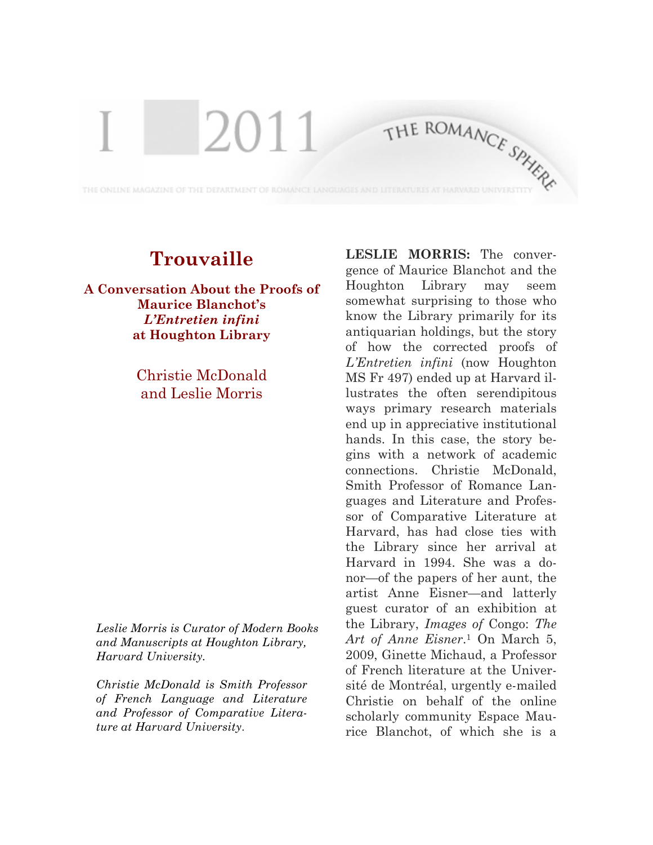## **Trouvaille**

THE ONLINE MAGAZINE OF THE DEPARTMENT OF ROMANCE LANGUAGES AND

T

2011

**A Conversation About the Proofs of Maurice Blanchot's** *L'Entretien infini* **at Houghton Library**

> Christie McDonald and Leslie Morris

*Leslie Morris is Curator of Modern Books and Manuscripts at Houghton Library, Harvard University.*

*Christie McDonald is Smith Professor of French Language and Literature and Professor of Comparative Literature at Harvard University*.

**LESLIE MORRIS:** The convergence of Maurice Blanchot and the Houghton Library may seem somewhat surprising to those who know the Library primarily for its antiquarian holdings, but the story of how the corrected proofs of *L'Entretien infini* (now Houghton MS Fr 497) ended up at Harvard illustrates the often serendipitous ways primary research materials end up in appreciative institutional hands. In this case, the story begins with a network of academic connections. Christie McDonald, Smith Professor of Romance Languages and Literature and Professor of Comparative Literature at Harvard, has had close ties with the Library since her arrival at Harvard in 1994. She was a donor—of the papers of her aunt, the artist Anne Eisner—and latterly guest curator of an exhibition at the Library, *Images of* Congo: *The Art of Anne Eisner*.1 On March 5, 2009, Ginette Michaud, a Professor of French literature at the Université de Montréal, urgently e-mailed Christie on behalf of the online scholarly community Espace Maurice Blanchot, of which she is a

THE ROMANCE SPHERE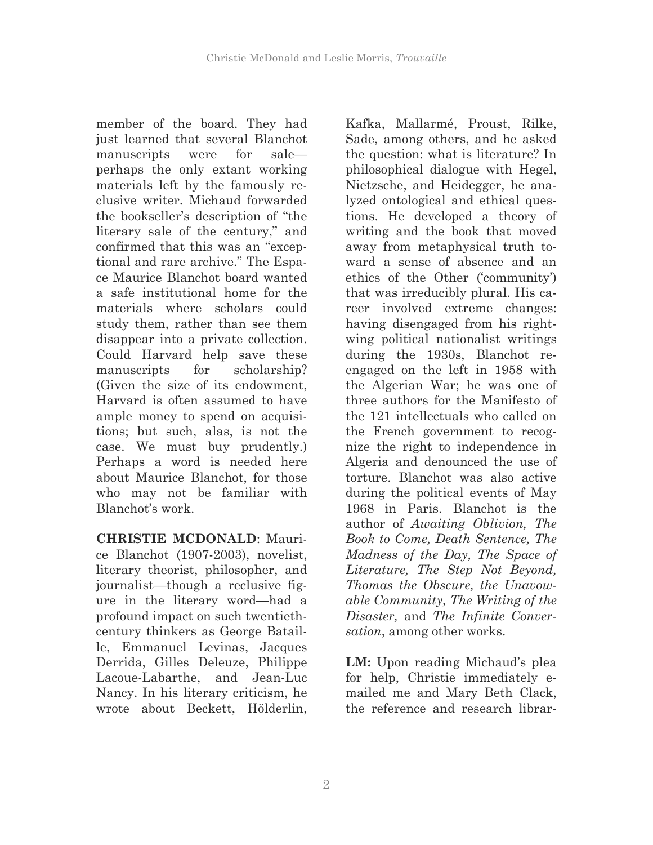member of the board. They had just learned that several Blanchot manuscripts were for sale perhaps the only extant working materials left by the famously reclusive writer. Michaud forwarded the bookseller's description of "the literary sale of the century," and confirmed that this was an "exceptional and rare archive." The Espace Maurice Blanchot board wanted a safe institutional home for the materials where scholars could study them, rather than see them disappear into a private collection. Could Harvard help save these manuscripts for scholarship? (Given the size of its endowment, Harvard is often assumed to have ample money to spend on acquisitions; but such, alas, is not the case. We must buy prudently.) Perhaps a word is needed here about Maurice Blanchot, for those who may not be familiar with Blanchot's work.

**CHRISTIE MCDONALD**: Maurice Blanchot (1907-2003), novelist, literary theorist, philosopher, and journalist—though a reclusive figure in the literary word—had a profound impact on such twentiethcentury thinkers as George Bataille, Emmanuel Levinas, Jacques Derrida, Gilles Deleuze, Philippe Lacoue-Labarthe, and Jean-Luc Nancy. In his literary criticism, he wrote about Beckett, Hölderlin,

Kafka, Mallarmé, Proust, Rilke, Sade, among others, and he asked the question: what is literature? In philosophical dialogue with Hegel, Nietzsche, and Heidegger, he analyzed ontological and ethical questions. He developed a theory of writing and the book that moved away from metaphysical truth toward a sense of absence and an ethics of the Other ('community') that was irreducibly plural. His career involved extreme changes: having disengaged from his rightwing political nationalist writings during the 1930s, Blanchot reengaged on the left in 1958 with the Algerian War; he was one of three authors for the Manifesto of the 121 intellectuals who called on the French government to recognize the right to independence in Algeria and denounced the use of torture. Blanchot was also active during the political events of May 1968 in Paris. Blanchot is the author of *Awaiting Oblivion, The Book to Come, Death Sentence, The Madness of the Day, The Space of Literature, The Step Not Beyond, Thomas the Obscure, the Unavowable Community, The Writing of the Disaster,* and *The Infinite Conversation*, among other works.

**LM:** Upon reading Michaud's plea for help, Christie immediately emailed me and Mary Beth Clack, the reference and research librar-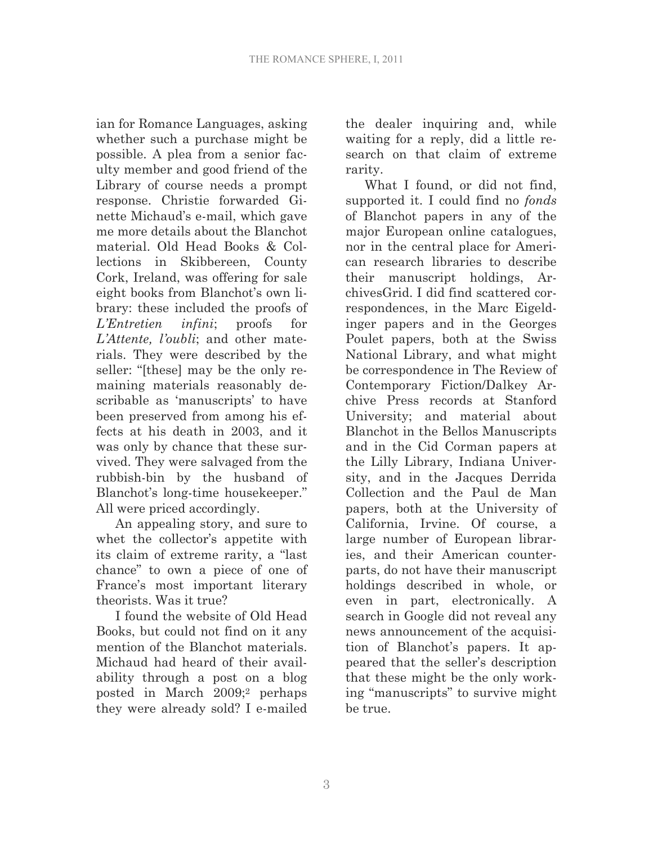ian for Romance Languages, asking whether such a purchase might be possible. A plea from a senior faculty member and good friend of the Library of course needs a prompt response. Christie forwarded Ginette Michaud's e-mail, which gave me more details about the Blanchot material. Old Head Books & Collections in Skibbereen, County Cork, Ireland, was offering for sale eight books from Blanchot's own library: these included the proofs of *L'Entretien infini*; proofs for *L'Attente, l'oubli*; and other materials. They were described by the seller: "[these] may be the only remaining materials reasonably describable as 'manuscripts' to have been preserved from among his effects at his death in 2003, and it was only by chance that these survived. They were salvaged from the rubbish-bin by the husband of Blanchot's long-time housekeeper." All were priced accordingly.

An appealing story, and sure to whet the collector's appetite with its claim of extreme rarity, a "last chance" to own a piece of one of France's most important literary theorists. Was it true?

I found the website of Old Head Books, but could not find on it any mention of the Blanchot materials. Michaud had heard of their availability through a post on a blog posted in March 2009;2 perhaps they were already sold? I e-mailed the dealer inquiring and, while waiting for a reply, did a little research on that claim of extreme rarity.

What I found, or did not find, supported it. I could find no *fonds* of Blanchot papers in any of the major European online catalogues, nor in the central place for American research libraries to describe their manuscript holdings, ArchivesGrid. I did find scattered correspondences, in the Marc Eigeldinger papers and in the Georges Poulet papers, both at the Swiss National Library, and what might be correspondence in The Review of Contemporary Fiction/Dalkey Archive Press records at Stanford University; and material about Blanchot in the Bellos Manuscripts and in the Cid Corman papers at the Lilly Library, Indiana University, and in the Jacques Derrida Collection and the Paul de Man papers, both at the University of California, Irvine. Of course, a large number of European libraries, and their American counterparts, do not have their manuscript holdings described in whole, or even in part, electronically. A search in Google did not reveal any news announcement of the acquisition of Blanchot's papers. It appeared that the seller's description that these might be the only working "manuscripts" to survive might be true.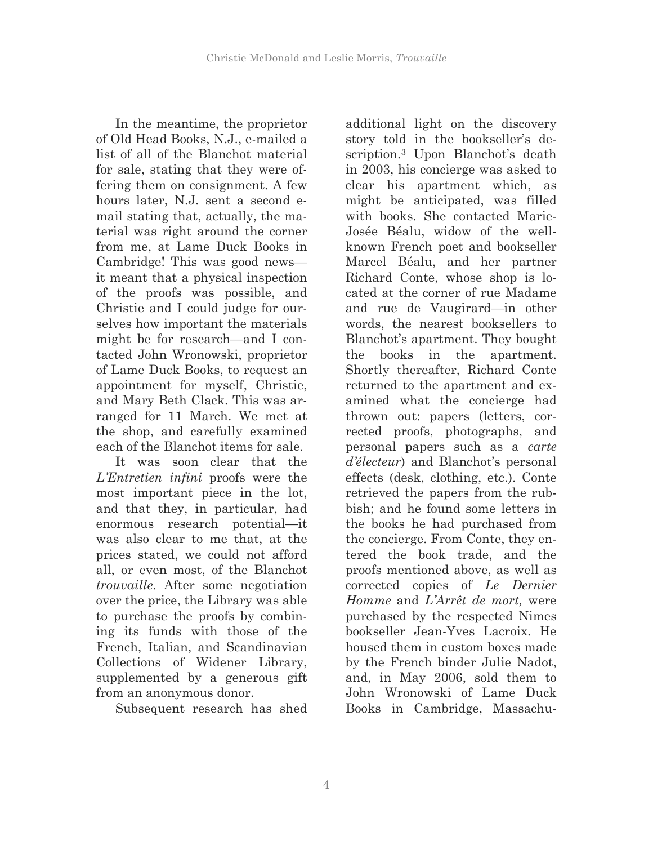In the meantime, the proprietor of Old Head Books, N.J., e-mailed a list of all of the Blanchot material for sale, stating that they were offering them on consignment. A few hours later, N.J. sent a second email stating that, actually, the material was right around the corner from me, at Lame Duck Books in Cambridge! This was good news it meant that a physical inspection of the proofs was possible, and Christie and I could judge for ourselves how important the materials might be for research—and I contacted John Wronowski, proprietor of Lame Duck Books, to request an appointment for myself, Christie, and Mary Beth Clack. This was arranged for 11 March. We met at the shop, and carefully examined each of the Blanchot items for sale.

It was soon clear that the *L'Entretien infini* proofs were the most important piece in the lot, and that they, in particular, had enormous research potential—it was also clear to me that, at the prices stated, we could not afford all, or even most, of the Blanchot *trouvaille*. After some negotiation over the price, the Library was able to purchase the proofs by combining its funds with those of the French, Italian, and Scandinavian Collections of Widener Library, supplemented by a generous gift from an anonymous donor.

Subsequent research has shed

additional light on the discovery story told in the bookseller's description.3 Upon Blanchot's death in 2003, his concierge was asked to clear his apartment which, as might be anticipated, was filled with books. She contacted Marie-Josée Béalu, widow of the wellknown French poet and bookseller Marcel Béalu, and her partner Richard Conte, whose shop is located at the corner of rue Madame and rue de Vaugirard—in other words, the nearest booksellers to Blanchot's apartment. They bought the books in the apartment. Shortly thereafter, Richard Conte returned to the apartment and examined what the concierge had thrown out: papers (letters, corrected proofs, photographs, and personal papers such as a *carte d'électeur*) and Blanchot's personal effects (desk, clothing, etc.). Conte retrieved the papers from the rubbish; and he found some letters in the books he had purchased from the concierge. From Conte, they entered the book trade, and the proofs mentioned above, as well as corrected copies of *Le Dernier Homme* and *L'Arrêt de mort,* were purchased by the respected Nimes bookseller Jean-Yves Lacroix. He housed them in custom boxes made by the French binder Julie Nadot, and, in May 2006, sold them to John Wronowski of Lame Duck Books in Cambridge, Massachu-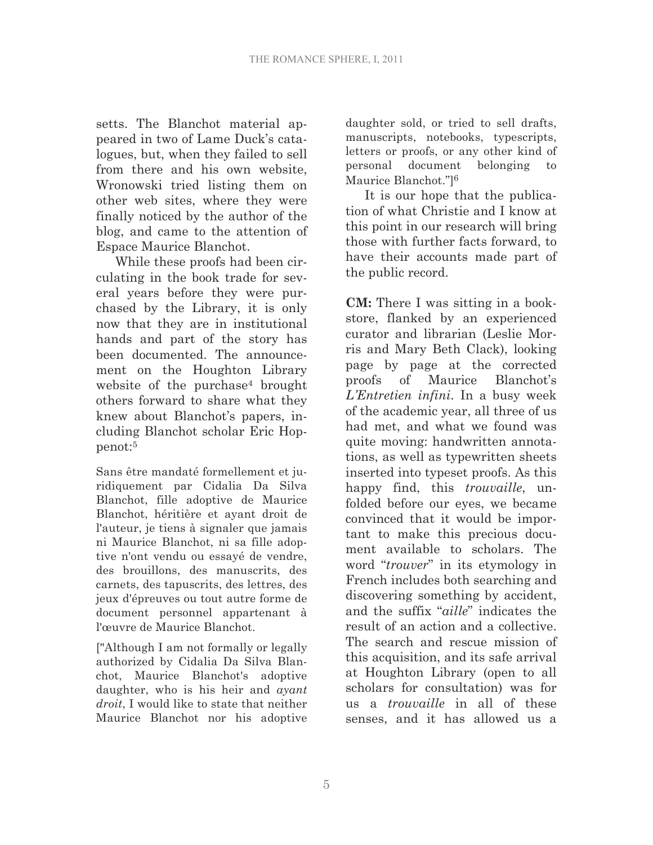setts. The Blanchot material appeared in two of Lame Duck's catalogues, but, when they failed to sell from there and his own website, Wronowski tried listing them on other web sites, where they were finally noticed by the author of the blog, and came to the attention of Espace Maurice Blanchot.

While these proofs had been circulating in the book trade for several years before they were purchased by the Library, it is only now that they are in institutional hands and part of the story has been documented. The announcement on the Houghton Library website of the purchase<sup>4</sup> brought others forward to share what they knew about Blanchot's papers, including Blanchot scholar Eric Hoppenot:5

Sans être mandaté formellement et juridiquement par Cidalia Da Silva Blanchot, fille adoptive de Maurice Blanchot, héritière et ayant droit de l'auteur, je tiens à signaler que jamais ni Maurice Blanchot, ni sa fille adoptive n'ont vendu ou essayé de vendre, des brouillons, des manuscrits, des carnets, des tapuscrits, des lettres, des jeux d'épreuves ou tout autre forme de document personnel appartenant à l'œuvre de Maurice Blanchot.

["Although I am not formally or legally authorized by Cidalia Da Silva Blanchot, Maurice Blanchot's adoptive daughter, who is his heir and *ayant droit*, I would like to state that neither Maurice Blanchot nor his adoptive daughter sold, or tried to sell drafts, manuscripts, notebooks, typescripts, letters or proofs, or any other kind of personal document belonging to Maurice Blanchot."]6

It is our hope that the publication of what Christie and I know at this point in our research will bring those with further facts forward, to have their accounts made part of the public record.

**CM:** There I was sitting in a bookstore, flanked by an experienced curator and librarian (Leslie Morris and Mary Beth Clack), looking page by page at the corrected proofs of Maurice Blanchot's *L'Entretien infini*. In a busy week of the academic year, all three of us had met, and what we found was quite moving: handwritten annotations, as well as typewritten sheets inserted into typeset proofs. As this happy find, this *trouvaille*, unfolded before our eyes, we became convinced that it would be important to make this precious document available to scholars. The word "*trouver*" in its etymology in French includes both searching and discovering something by accident, and the suffix "*aille*" indicates the result of an action and a collective. The search and rescue mission of this acquisition, and its safe arrival at Houghton Library (open to all scholars for consultation) was for us a *trouvaille* in all of these senses, and it has allowed us a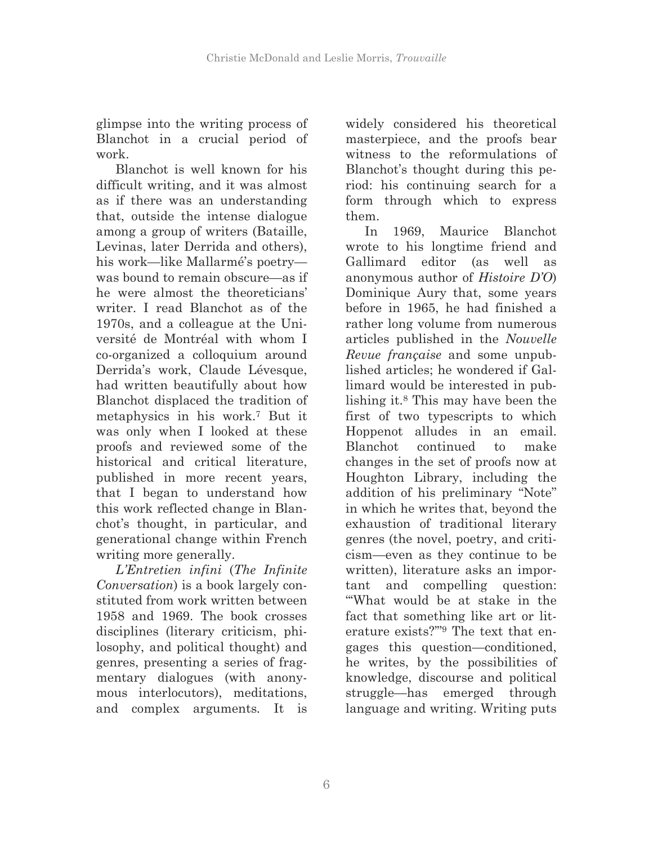glimpse into the writing process of Blanchot in a crucial period of work.

Blanchot is well known for his difficult writing, and it was almost as if there was an understanding that, outside the intense dialogue among a group of writers (Bataille, Levinas, later Derrida and others), his work—like Mallarmé's poetry was bound to remain obscure—as if he were almost the theoreticians' writer. I read Blanchot as of the 1970s, and a colleague at the Université de Montréal with whom I co-organized a colloquium around Derrida's work, Claude Lévesque, had written beautifully about how Blanchot displaced the tradition of metaphysics in his work.7 But it was only when I looked at these proofs and reviewed some of the historical and critical literature, published in more recent years, that I began to understand how this work reflected change in Blanchot's thought, in particular, and generational change within French writing more generally.

*L'Entretien infini* (*The Infinite Conversation*) is a book largely constituted from work written between 1958 and 1969. The book crosses disciplines (literary criticism, philosophy, and political thought) and genres, presenting a series of fragmentary dialogues (with anonymous interlocutors), meditations, and complex arguments*.* It is widely considered his theoretical masterpiece, and the proofs bear witness to the reformulations of Blanchot's thought during this period: his continuing search for a form through which to express them.

In 1969, Maurice Blanchot wrote to his longtime friend and Gallimard editor (as well as anonymous author of *Histoire D'O*) Dominique Aury that, some years before in 1965, he had finished a rather long volume from numerous articles published in the *Nouvelle Revue française* and some unpublished articles; he wondered if Gallimard would be interested in publishing it.8 This may have been the first of two typescripts to which Hoppenot alludes in an email. Blanchot continued to make changes in the set of proofs now at Houghton Library, including the addition of his preliminary "Note" in which he writes that, beyond the exhaustion of traditional literary genres (the novel, poetry, and criticism—even as they continue to be written), literature asks an important and compelling question: "'What would be at stake in the fact that something like art or literature exists?'"9 The text that engages this question—conditioned, he writes, by the possibilities of knowledge, discourse and political struggle—has emerged through language and writing. Writing puts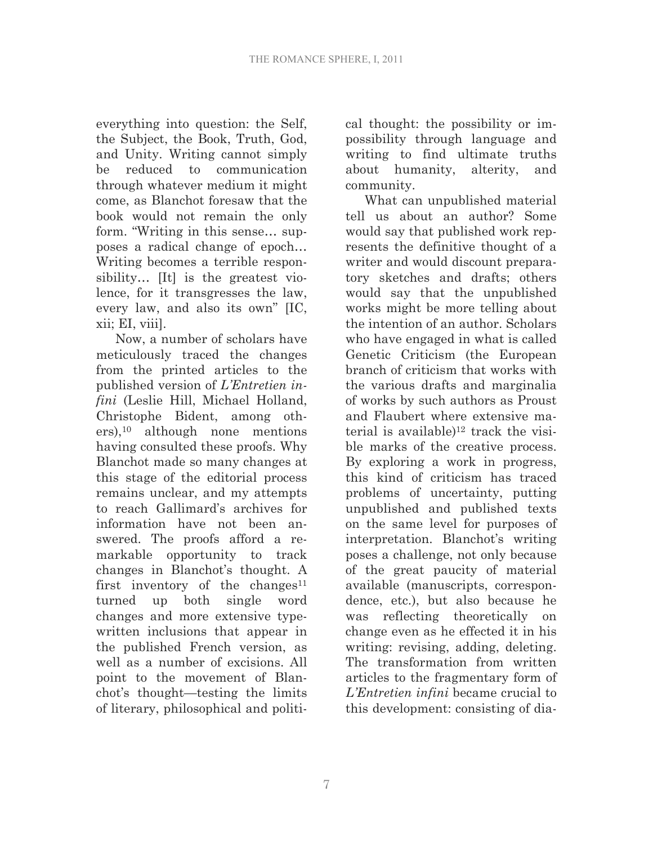everything into question: the Self, the Subject, the Book, Truth, God, and Unity. Writing cannot simply be reduced to communication through whatever medium it might come, as Blanchot foresaw that the book would not remain the only form. "Writing in this sense… supposes a radical change of epoch… Writing becomes a terrible responsibility… [It] is the greatest violence, for it transgresses the law, every law, and also its own" [IC, xii; EI, viii].

Now, a number of scholars have meticulously traced the changes from the printed articles to the published version of *L'Entretien infini* (Leslie Hill, Michael Holland, Christophe Bident, among others),10 although none mentions having consulted these proofs. Why Blanchot made so many changes at this stage of the editorial process remains unclear, and my attempts to reach Gallimard's archives for information have not been answered. The proofs afford a remarkable opportunity to track changes in Blanchot's thought. A first inventory of the changes<sup>11</sup> turned up both single word changes and more extensive typewritten inclusions that appear in the published French version, as well as a number of excisions. All point to the movement of Blanchot's thought—testing the limits of literary, philosophical and political thought: the possibility or impossibility through language and writing to find ultimate truths about humanity, alterity, and community.

What can unpublished material tell us about an author? Some would say that published work represents the definitive thought of a writer and would discount preparatory sketches and drafts; others would say that the unpublished works might be more telling about the intention of an author. Scholars who have engaged in what is called Genetic Criticism (the European branch of criticism that works with the various drafts and marginalia of works by such authors as Proust and Flaubert where extensive material is available)12 track the visible marks of the creative process. By exploring a work in progress, this kind of criticism has traced problems of uncertainty, putting unpublished and published texts on the same level for purposes of interpretation. Blanchot's writing poses a challenge, not only because of the great paucity of material available (manuscripts, correspondence, etc.), but also because he was reflecting theoretically on change even as he effected it in his writing: revising, adding, deleting. The transformation from written articles to the fragmentary form of *L'Entretien infini* became crucial to this development: consisting of dia-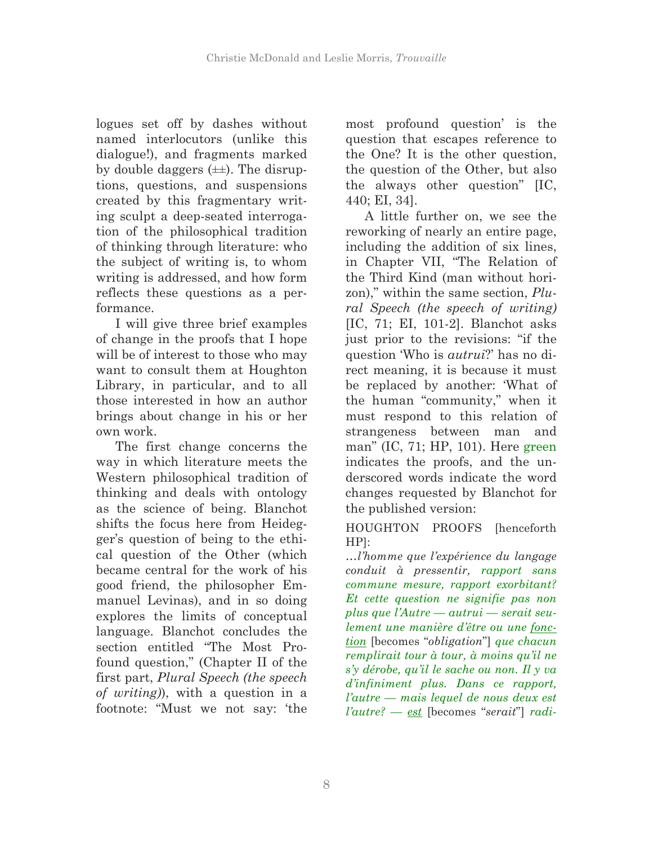logues set off by dashes without named interlocutors (unlike this dialogue!), and fragments marked by double daggers  $(\pm\pm)$ . The disruptions, questions, and suspensions created by this fragmentary writing sculpt a deep-seated interrogation of the philosophical tradition of thinking through literature: who the subject of writing is, to whom writing is addressed, and how form reflects these questions as a performance.

I will give three brief examples of change in the proofs that I hope will be of interest to those who may want to consult them at Houghton Library, in particular, and to all those interested in how an author brings about change in his or her own work.

The first change concerns the way in which literature meets the Western philosophical tradition of thinking and deals with ontology as the science of being. Blanchot shifts the focus here from Heidegger's question of being to the ethical question of the Other (which became central for the work of his good friend, the philosopher Emmanuel Levinas), and in so doing explores the limits of conceptual language. Blanchot concludes the section entitled "The Most Profound question," (Chapter II of the first part, *Plural Speech (the speech of writing)*), with a question in a footnote: "Must we not say: 'the most profound question' is the question that escapes reference to the One? It is the other question, the question of the Other, but also the always other question" [IC, 440; EI, 34].

A little further on, we see the reworking of nearly an entire page, including the addition of six lines, in Chapter VII, "The Relation of the Third Kind (man without horizon)," within the same section, *Plural Speech (the speech of writing)*  [IC, 71; EI, 101-2]. Blanchot asks just prior to the revisions: "if the question 'Who is *autrui*?' has no direct meaning, it is because it must be replaced by another: 'What of the human "community," when it must respond to this relation of strangeness between man and man" (IC, 71; HP, 101). Here green indicates the proofs, and the underscored words indicate the word changes requested by Blanchot for the published version:

HOUGHTON PROOFS [henceforth HP]:

*…l'homme que l'expérience du langage conduit à pressentir, rapport sans commune mesure, rapport exorbitant? Et cette question ne signifie pas non plus que l'Autre — autrui — serait seulement une manière d'être ou une fonction* [becomes "*obligation*"] *que chacun remplirait tour à tour, à moins qu'il ne s'y dérobe, qu'il le sache ou non. Il y va d'infiniment plus. Dans ce rapport, l'autre — mais lequel de nous deux est l'autre? — est* [becomes "*serait*"] *radi-*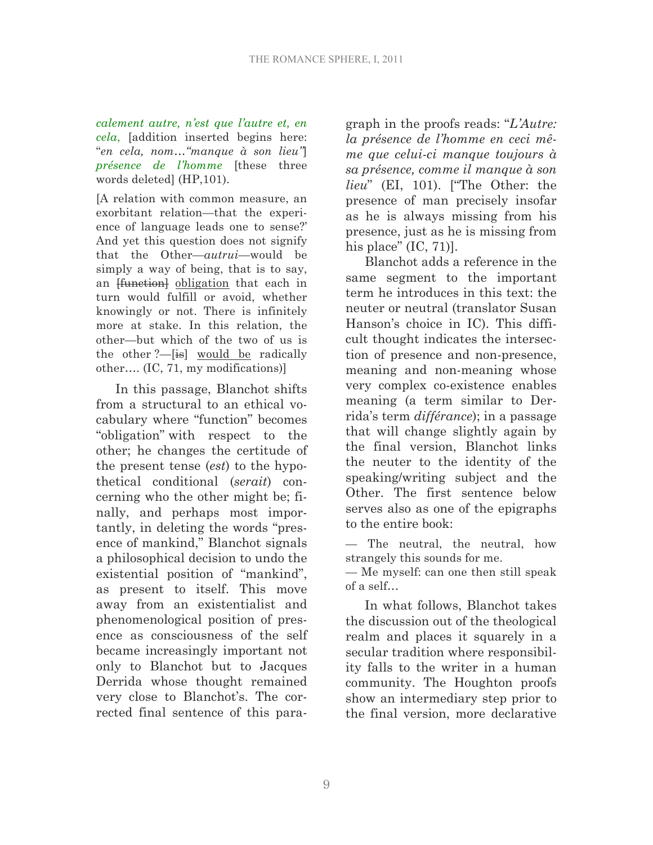*calement autre, n'est que l'autre et, en cela*, [addition inserted begins here: "*en cela, nom…"manque à son lieu"*] *présence de l'homme* [these three words deleted] (HP,101).

[A relation with common measure, an exorbitant relation—that the experience of language leads one to sense?' And yet this question does not signify that the Other—*autrui*—would be simply a way of being, that is to say, an *function* obligation that each in turn would fulfill or avoid, whether knowingly or not. There is infinitely more at stake. In this relation, the other—but which of the two of us is the other  $?$ —[is] would be radically other…. (IC, 71, my modifications)]

In this passage, Blanchot shifts from a structural to an ethical vocabulary where "function" becomes "obligation" with respect to the other; he changes the certitude of the present tense (*est*) to the hypothetical conditional (*serait*) concerning who the other might be; finally, and perhaps most importantly, in deleting the words "presence of mankind," Blanchot signals a philosophical decision to undo the existential position of "mankind", as present to itself. This move away from an existentialist and phenomenological position of presence as consciousness of the self became increasingly important not only to Blanchot but to Jacques Derrida whose thought remained very close to Blanchot's. The corrected final sentence of this paragraph in the proofs reads: "*L'Autre: la présence de l'homme en ceci même que celui-ci manque toujours à sa présence, comme il manque à son lieu*" (EI, 101). ["The Other: the presence of man precisely insofar as he is always missing from his presence, just as he is missing from his place" (IC, 71)].

Blanchot adds a reference in the same segment to the important term he introduces in this text: the neuter or neutral (translator Susan Hanson's choice in IC). This difficult thought indicates the intersection of presence and non-presence, meaning and non-meaning whose very complex co-existence enables meaning (a term similar to Derrida's term *différance*); in a passage that will change slightly again by the final version, Blanchot links the neuter to the identity of the speaking/writing subject and the Other. The first sentence below serves also as one of the epigraphs to the entire book:

— The neutral, the neutral, how strangely this sounds for me.

— Me myself: can one then still speak of a self…

In what follows, Blanchot takes the discussion out of the theological realm and places it squarely in a secular tradition where responsibility falls to the writer in a human community. The Houghton proofs show an intermediary step prior to the final version, more declarative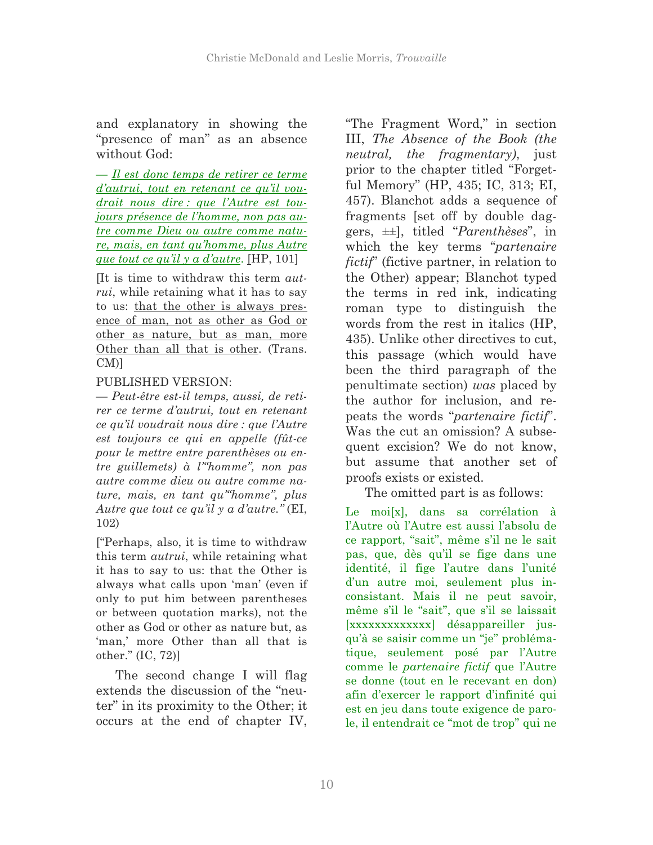and explanatory in showing the "presence of man" as an absence without God:

— *Il est donc temps de retirer ce terme d'autrui, tout en retenant ce qu'il voudrait nous dire : que l'Autre est toujours présence de l'homme, non pas autre comme Dieu ou autre comme nature, mais, en tant qu'homme, plus Autre que tout ce qu'il y a d'autre*. [HP, 101]

[It is time to withdraw this term *autrui*, while retaining what it has to say to us: that the other is always presence of man, not as other as God or other as nature, but as man, more Other than all that is other. (Trans. CM)]

## PUBLISHED VERSION:

— *Peut-être est-il temps, aussi, de retirer ce terme d'autrui, tout en retenant ce qu'il voudrait nous dire : que l'Autre est toujours ce qui en appelle (fût-ce pour le mettre entre parenthèses ou entre guillemets) à l'"homme", non pas autre comme dieu ou autre comme nature, mais, en tant qu'"homme", plus Autre que tout ce qu'il y a d'autre."* (EI, 102)

["Perhaps, also, it is time to withdraw this term *autrui*, while retaining what it has to say to us: that the Other is always what calls upon 'man' (even if only to put him between parentheses or between quotation marks), not the other as God or other as nature but, as 'man,' more Other than all that is other." (IC, 72)]

The second change I will flag extends the discussion of the "neuter" in its proximity to the Other; it occurs at the end of chapter IV,

"The Fragment Word," in section III, *The Absence of the Book (the neutral, the fragmentary)*, just prior to the chapter titled "Forgetful Memory" (HP, 435; IC, 313; EI, 457). Blanchot adds a sequence of fragments [set off by double daggers, ±±], titled "*Parenthèses*", in which the key terms "*partenaire fictif*" (fictive partner, in relation to the Other) appear; Blanchot typed the terms in red ink, indicating roman type to distinguish the words from the rest in italics (HP, 435). Unlike other directives to cut, this passage (which would have been the third paragraph of the penultimate section) *was* placed by the author for inclusion, and repeats the words "*partenaire fictif*". Was the cut an omission? A subsequent excision? We do not know, but assume that another set of proofs exists or existed.

The omitted part is as follows:

Le moi[x], dans sa corrélation à l'Autre où l'Autre est aussi l'absolu de ce rapport, "sait", même s'il ne le sait pas, que, dès qu'il se fige dans une identité, il fige l'autre dans l'unité d'un autre moi, seulement plus inconsistant. Mais il ne peut savoir, même s'il le "sait", que s'il se laissait [xxxxxxxxxxxxx] désappareiller jusqu'à se saisir comme un "je" problématique, seulement posé par l'Autre comme le *partenaire fictif* que l'Autre se donne (tout en le recevant en don) afin d'exercer le rapport d'infinité qui est en jeu dans toute exigence de parole, il entendrait ce "mot de trop" qui ne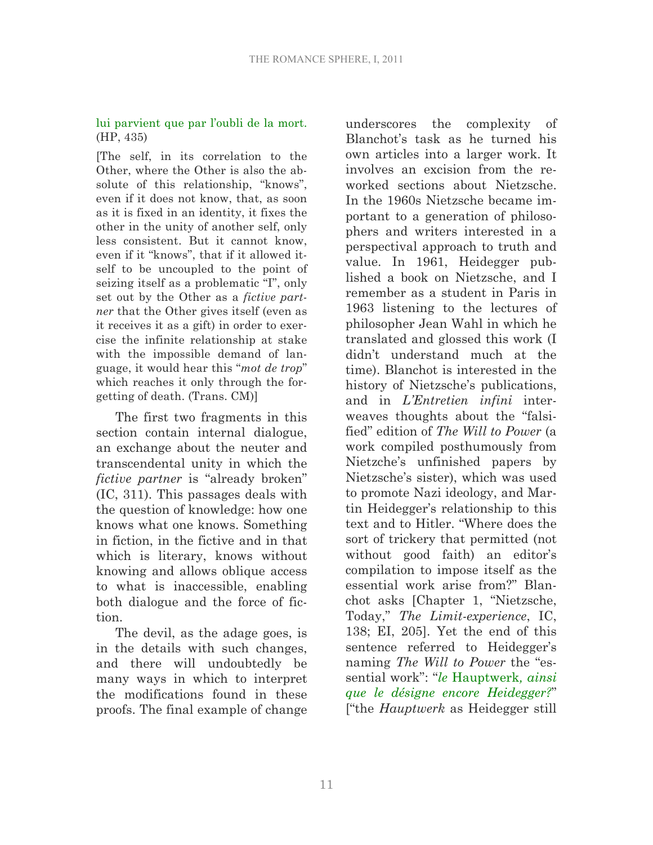## lui parvient que par l'oubli de la mort. (HP, 435)

[The self, in its correlation to the Other, where the Other is also the absolute of this relationship, "knows", even if it does not know, that, as soon as it is fixed in an identity, it fixes the other in the unity of another self, only less consistent. But it cannot know, even if it "knows", that if it allowed itself to be uncoupled to the point of seizing itself as a problematic "I", only set out by the Other as a *fictive partner* that the Other gives itself (even as it receives it as a gift) in order to exercise the infinite relationship at stake with the impossible demand of language, it would hear this "*mot de trop*" which reaches it only through the forgetting of death. (Trans. CM)]

The first two fragments in this section contain internal dialogue, an exchange about the neuter and transcendental unity in which the *fictive partner* is "already broken" (IC, 311). This passages deals with the question of knowledge: how one knows what one knows. Something in fiction, in the fictive and in that which is literary, knows without knowing and allows oblique access to what is inaccessible, enabling both dialogue and the force of fiction.

The devil, as the adage goes, is in the details with such changes, and there will undoubtedly be many ways in which to interpret the modifications found in these proofs. The final example of change underscores the complexity of Blanchot's task as he turned his own articles into a larger work. It involves an excision from the reworked sections about Nietzsche. In the 1960s Nietzsche became important to a generation of philosophers and writers interested in a perspectival approach to truth and value. In 1961, Heidegger published a book on Nietzsche, and I remember as a student in Paris in 1963 listening to the lectures of philosopher Jean Wahl in which he translated and glossed this work (I didn't understand much at the time). Blanchot is interested in the history of Nietzsche's publications, and in *L'Entretien infini* interweaves thoughts about the "falsified" edition of *The Will to Power* (a work compiled posthumously from Nietzche's unfinished papers by Nietzsche's sister), which was used to promote Nazi ideology, and Martin Heidegger's relationship to this text and to Hitler. "Where does the sort of trickery that permitted (not without good faith) an editor's compilation to impose itself as the essential work arise from?" Blanchot asks [Chapter 1, "Nietzsche, Today," *The Limit-experience*, IC, 138; EI, 205]. Yet the end of this sentence referred to Heidegger's naming *The Will to Power* the "essential work": "*le* Hauptwerk*, ainsi que le désigne encore Heidegger?*" ["the *Hauptwerk* as Heidegger still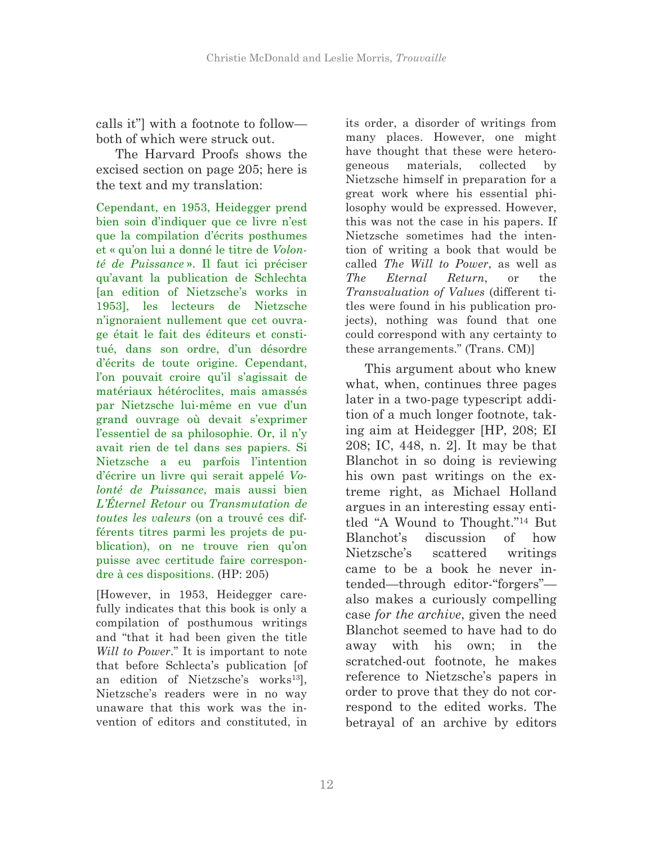calls it"] with a footnote to follow both of which were struck out.

The Harvard Proofs shows the excised section on page 205; here is the text and my translation:

Cependant, en 1953, Heidegger prend bien soin d'indiquer que ce livre n'est que la compilation d'écrits posthumes et « qu'on lui a donné le titre de *Volonté de Puissance* ». Il faut ici préciser qu'avant la publication de Schlechta [an edition of Nietzsche's works in 1953], les lecteurs de Nietzsche n'ignoraient nullement que cet ouvrage était le fait des éditeurs et constitué, dans son ordre, d'un désordre d'écrits de toute origine. Cependant, l'on pouvait croire qu'il s'agissait de matériaux hétéroclites, mais amassés par Nietzsche lui-même en vue d'un grand ouvrage où devait s'exprimer l'essentiel de sa philosophie. Or, il n'y avait rien de tel dans ses papiers. Si Nietzsche a eu parfois l'intention d'écrire un livre qui serait appelé *Volonté de Puissance*, mais aussi bien *L'Éternel Retour* ou *Transmutation de toutes les valeurs* (on a trouvé ces différents titres parmi les projets de publication), on ne trouve rien qu'on puisse avec certitude faire correspondre à ces dispositions. (HP: 205)

[However, in 1953, Heidegger carefully indicates that this book is only a compilation of posthumous writings and "that it had been given the title *Will to Power*." It is important to note that before Schlecta's publication [of an edition of Nietzsche's works<sup>13</sup>], Nietzsche's readers were in no way unaware that this work was the invention of editors and constituted, in

its order, a disorder of writings from many places. However, one might have thought that these were heterogeneous materials, collected by Nietzsche himself in preparation for a great work where his essential philosophy would be expressed. However, this was not the case in his papers. If Nietzsche sometimes had the intention of writing a book that would be called *The Will to Power*, as well as *The Eternal Return*, or the *Transvaluation of Values* (different titles were found in his publication projects), nothing was found that one could correspond with any certainty to these arrangements." (Trans. CM)]

This argument about who knew what, when, continues three pages later in a two-page typescript addition of a much longer footnote, taking aim at Heidegger [HP, 208; EI 208; IC, 448, n. 2]. It may be that Blanchot in so doing is reviewing his own past writings on the extreme right, as Michael Holland argues in an interesting essay entitled "A Wound to Thought."14 But Blanchot's discussion of how Nietzsche's scattered writings came to be a book he never intended—through editor-"forgers" also makes a curiously compelling case *for the archive*, given the need Blanchot seemed to have had to do away with his own; in the scratched-out footnote, he makes reference to Nietzsche's papers in order to prove that they do not correspond to the edited works. The betrayal of an archive by editors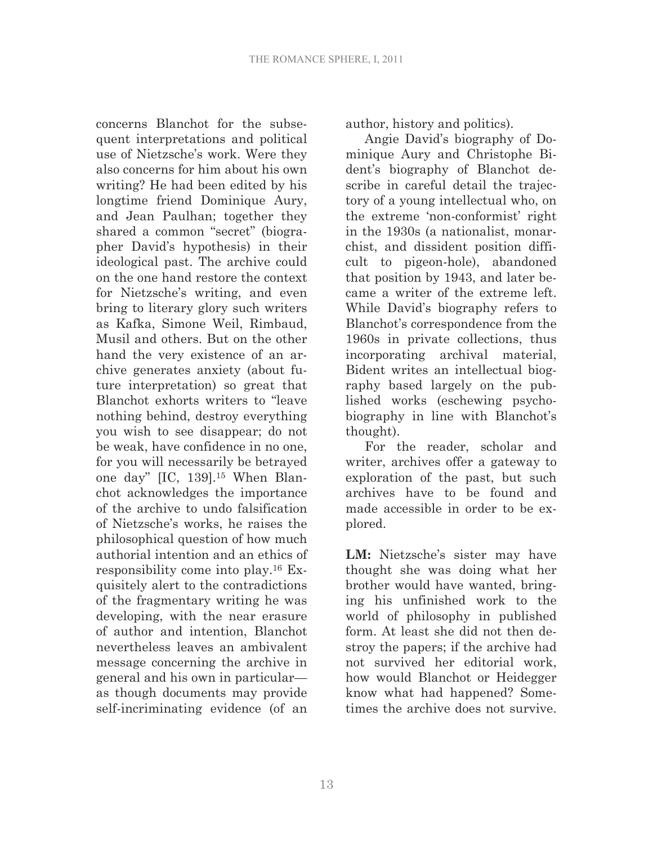concerns Blanchot for the subsequent interpretations and political use of Nietzsche's work. Were they also concerns for him about his own writing? He had been edited by his longtime friend Dominique Aury, and Jean Paulhan; together they shared a common "secret" (biographer David's hypothesis) in their ideological past. The archive could on the one hand restore the context for Nietzsche's writing, and even bring to literary glory such writers as Kafka, Simone Weil, Rimbaud, Musil and others. But on the other hand the very existence of an archive generates anxiety (about future interpretation) so great that Blanchot exhorts writers to "leave nothing behind, destroy everything you wish to see disappear; do not be weak, have confidence in no one, for you will necessarily be betrayed one day" [IC, 139].15 When Blanchot acknowledges the importance of the archive to undo falsification of Nietzsche's works, he raises the philosophical question of how much authorial intention and an ethics of responsibility come into play.16 Exquisitely alert to the contradictions of the fragmentary writing he was developing, with the near erasure of author and intention, Blanchot nevertheless leaves an ambivalent message concerning the archive in general and his own in particular as though documents may provide self-incriminating evidence (of an author, history and politics).

Angie David's biography of Dominique Aury and Christophe Bident's biography of Blanchot describe in careful detail the trajectory of a young intellectual who, on the extreme 'non-conformist' right in the 1930s (a nationalist, monarchist, and dissident position difficult to pigeon-hole), abandoned that position by 1943, and later became a writer of the extreme left. While David's biography refers to Blanchot's correspondence from the 1960s in private collections, thus incorporating archival material, Bident writes an intellectual biography based largely on the published works (eschewing psychobiography in line with Blanchot's thought).

For the reader, scholar and writer, archives offer a gateway to exploration of the past, but such archives have to be found and made accessible in order to be explored.

**LM:** Nietzsche's sister may have thought she was doing what her brother would have wanted, bringing his unfinished work to the world of philosophy in published form. At least she did not then destroy the papers; if the archive had not survived her editorial work, how would Blanchot or Heidegger know what had happened? Sometimes the archive does not survive.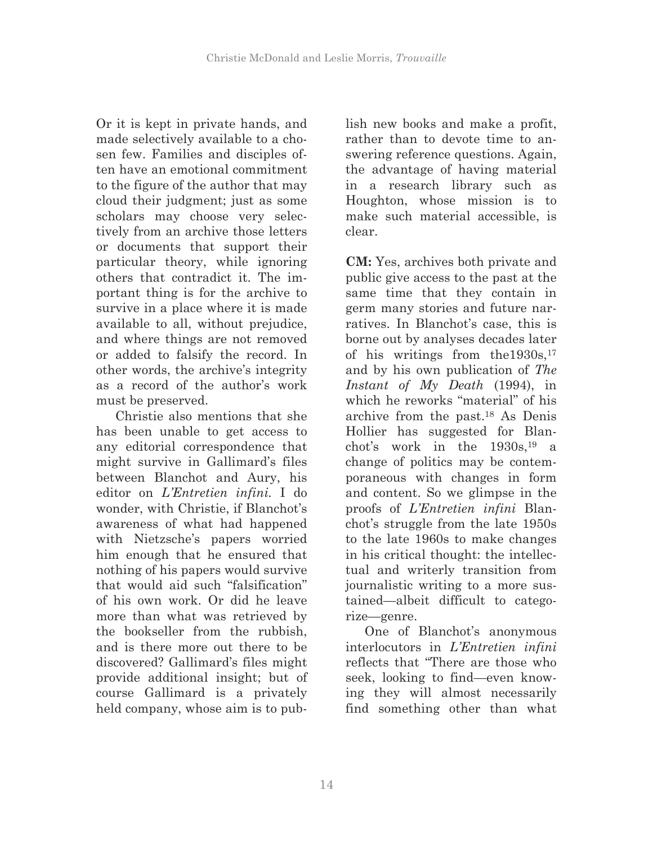Or it is kept in private hands, and made selectively available to a chosen few. Families and disciples often have an emotional commitment to the figure of the author that may cloud their judgment; just as some scholars may choose very selectively from an archive those letters or documents that support their particular theory, while ignoring others that contradict it. The important thing is for the archive to survive in a place where it is made available to all, without prejudice, and where things are not removed or added to falsify the record. In other words, the archive's integrity as a record of the author's work must be preserved.

Christie also mentions that she has been unable to get access to any editorial correspondence that might survive in Gallimard's files between Blanchot and Aury, his editor on *L'Entretien infini.* I do wonder, with Christie, if Blanchot's awareness of what had happened with Nietzsche's papers worried him enough that he ensured that nothing of his papers would survive that would aid such "falsification" of his own work. Or did he leave more than what was retrieved by the bookseller from the rubbish, and is there more out there to be discovered? Gallimard's files might provide additional insight; but of course Gallimard is a privately held company, whose aim is to publish new books and make a profit, rather than to devote time to answering reference questions. Again, the advantage of having material in a research library such as Houghton, whose mission is to make such material accessible, is clear.

**CM:** Yes, archives both private and public give access to the past at the same time that they contain in germ many stories and future narratives. In Blanchot's case, this is borne out by analyses decades later of his writings from the1930s,17 and by his own publication of *The Instant of My Death* (1994), in which he reworks "material" of his archive from the past.18 As Denis Hollier has suggested for Blanchot's work in the  $1930s$ , <sup>19</sup> a change of politics may be contemporaneous with changes in form and content. So we glimpse in the proofs of *L'Entretien infini* Blanchot's struggle from the late 1950s to the late 1960s to make changes in his critical thought: the intellectual and writerly transition from journalistic writing to a more sustained—albeit difficult to categorize—genre.

One of Blanchot's anonymous interlocutors in *L'Entretien infini* reflects that "There are those who seek, looking to find—even knowing they will almost necessarily find something other than what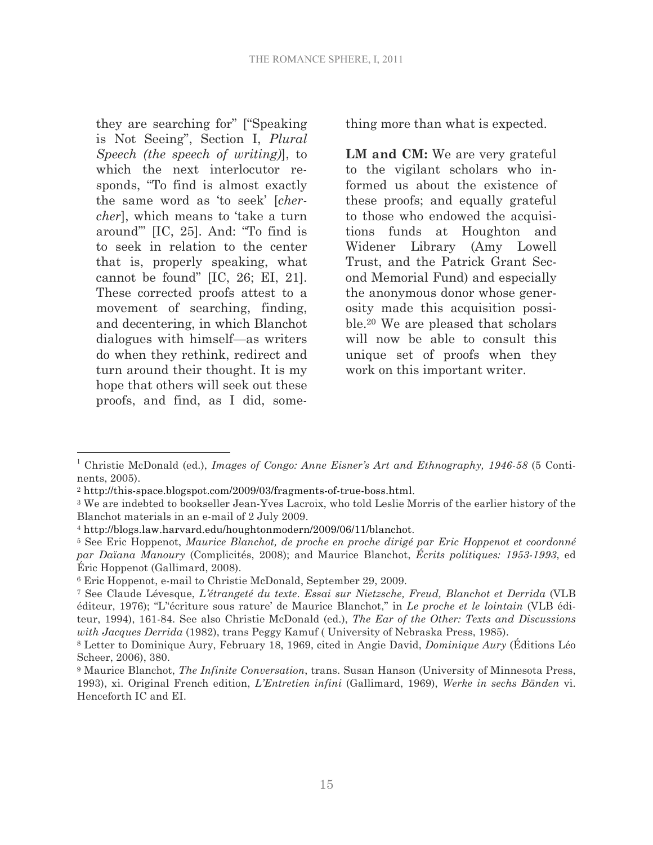they are searching for" ["Speaking is Not Seeing", Section I, *Plural Speech (the speech of writing)*], to which the next interlocutor responds, "To find is almost exactly the same word as 'to seek' [*chercher*], which means to 'take a turn around'" [IC, 25]. And: "To find is to seek in relation to the center that is, properly speaking, what cannot be found" [IC, 26; EI, 21]. These corrected proofs attest to a movement of searching, finding, and decentering, in which Blanchot dialogues with himself—as writers do when they rethink, redirect and turn around their thought. It is my hope that others will seek out these proofs, and find, as I did, something more than what is expected.

**LM and CM:** We are very grateful to the vigilant scholars who informed us about the existence of these proofs; and equally grateful to those who endowed the acquisitions funds at Houghton and Widener Library (Amy Lowell Trust, and the Patrick Grant Second Memorial Fund) and especially the anonymous donor whose generosity made this acquisition possible.20 We are pleased that scholars will now be able to consult this unique set of proofs when they work on this important writer.

 <sup>1</sup> Christie McDonald (ed.), *Images of Congo: Anne Eisner's Art and Ethnography, 1946-58* (5 Continents, 2005).

<sup>&</sup>lt;sup>2</sup> http://this-space.blogspot.com/2009/03/fragments-of-true-boss.html.<br><sup>3</sup> We are indebted to bookseller Jean-Yves Lacroix, who told Leslie Morris of the earlier history of the Blanchot materials in an e-mail of 2 July 2009.

<sup>4</sup> http://blogs.law.harvard.edu/houghtonmodern/2009/06/11/blanchot. 5 See Eric Hoppenot, *Maurice Blanchot, de proche en proche dirigé par Eric Hoppenot et coordonné par Daïana Manoury* (Complicités, 2008); and Maurice Blanchot, *Écrits politiques: 1953-1993*, ed Éric Hoppenot (Gallimard, 2008).

<sup>6</sup> Eric Hoppenot, e-mail to Christie McDonald, September 29, 2009.

<sup>7</sup> See Claude Lévesque, *L'étrangeté du texte*. *Essai sur Nietzsche, Freud, Blanchot et Derrida* (VLB éditeur, 1976); "L''écriture sous rature' de Maurice Blanchot," in *Le proche et le lointain* (VLB éditeur, 1994), 161-84. See also Christie McDonald (ed.), *The Ear of the Other: Texts and Discussions with Jacques Derrida* (1982), trans Peggy Kamuf ( University of Nebraska Press, 1985).

<sup>8</sup> Letter to Dominique Aury, February 18, 1969, cited in Angie David, *Dominique Aury* (Éditions Léo Scheer, 2006), 380.

<sup>9</sup> Maurice Blanchot, *The Infinite Conversation*, trans. Susan Hanson (University of Minnesota Press, 1993), xi. Original French edition, *L'Entretien infini* (Gallimard, 1969), *Werke in sechs Bänden* vi. Henceforth IC and EI.